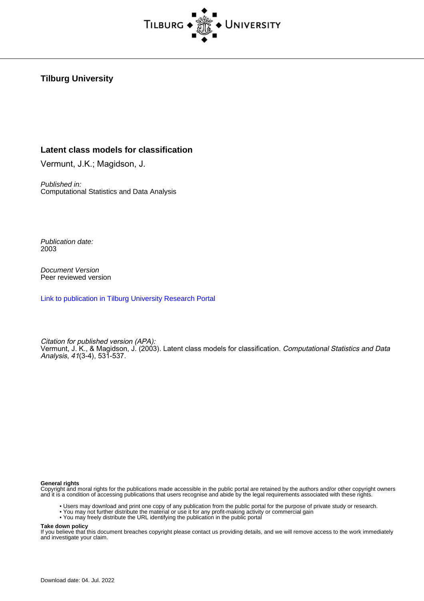

#### **Tilburg University**

#### **Latent class models for classification**

Vermunt, J.K.; Magidson, J.

Published in: Computational Statistics and Data Analysis

Publication date: 2003

Document Version Peer reviewed version

[Link to publication in Tilburg University Research Portal](https://research.tilburguniversity.edu/en/publications/dd1b9d6c-c7e7-4ab0-9bc0-848866557960)

Citation for published version (APA): Vermunt, J. K., & Magidson, J. (2003). Latent class models for classification. Computational Statistics and Data Analysis, 41(3-4), 531-537.

#### **General rights**

Copyright and moral rights for the publications made accessible in the public portal are retained by the authors and/or other copyright owners and it is a condition of accessing publications that users recognise and abide by the legal requirements associated with these rights.

- Users may download and print one copy of any publication from the public portal for the purpose of private study or research.
- You may not further distribute the material or use it for any profit-making activity or commercial gain
- You may freely distribute the URL identifying the publication in the public portal

**Take down policy**

If you believe that this document breaches copyright please contact us providing details, and we will remove access to the work immediately and investigate your claim.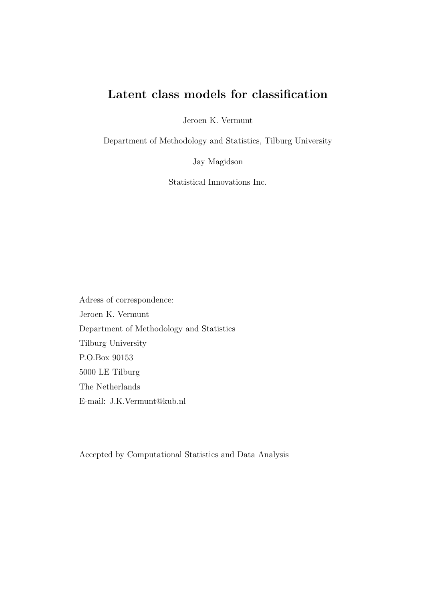# Latent class models for classification

Jeroen K. Vermunt

Department of Methodology and Statistics, Tilburg University

Jay Magidson

Statistical Innovations Inc.

Adress of correspondence: Jeroen K. Vermunt Department of Methodology and Statistics Tilburg University P.O.Box 90153 5000 LE Tilburg The Netherlands E-mail: J.K.Vermunt@kub.nl

Accepted by Computational Statistics and Data Analysis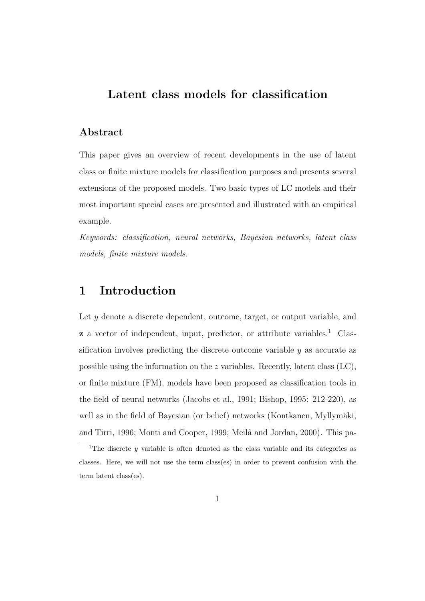# Latent class models for classification

#### Abstract

This paper gives an overview of recent developments in the use of latent class or finite mixture models for classification purposes and presents several extensions of the proposed models. Two basic types of LC models and their most important special cases are presented and illustrated with an empirical example.

Keywords: classification, neural networks, Bayesian networks, latent class models, finite mixture models.

#### 1 Introduction

Let  $y$  denote a discrete dependent, outcome, target, or output variable, and  $\boldsymbol{z}$  a vector of independent, input, predictor, or attribute variables.<sup>1</sup> Classification involves predicting the discrete outcome variable  $y$  as accurate as possible using the information on the z variables. Recently, latent class  $(LC)$ , or finite mixture (FM), models have been proposed as classification tools in the field of neural networks (Jacobs et al., 1991; Bishop, 1995: 212-220), as well as in the field of Bayesian (or belief) networks (Kontkanen, Myllymäki, and Tirri, 1996; Monti and Cooper, 1999; Meilã and Jordan, 2000). This pa-

<sup>&</sup>lt;sup>1</sup>The discrete y variable is often denoted as the class variable and its categories as classes. Here, we will not use the term class(es) in order to prevent confusion with the term latent class(es).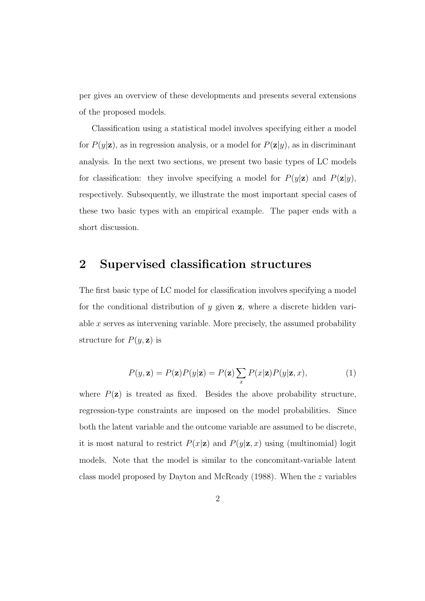per gives an overview of these developments and presents several extensions of the proposed models.

Classification using a statistical model involves specifying either a model for  $P(y|\mathbf{z})$ , as in regression analysis, or a model for  $P(\mathbf{z}|y)$ , as in discriminant analysis. In the next two sections, we present two basic types of LC models for classification: they involve specifying a model for  $P(y|\mathbf{z})$  and  $P(\mathbf{z}|y)$ , respectively. Subsequently, we illustrate the most important special cases of these two basic types with an empirical example. The paper ends with a short discussion.

## 2 Supervised classification structures

The first basic type of LC model for classification involves specifying a model for the conditional distribution of  $y$  given  $z$ , where a discrete hidden variable  $x$  serves as intervening variable. More precisely, the assumed probability structure for  $P(y, z)$  is

$$
P(y, \mathbf{z}) = P(\mathbf{z})P(y|\mathbf{z}) = P(\mathbf{z})\sum_{x} P(x|\mathbf{z})P(y|\mathbf{z}, x),
$$
\n(1)

where  $P(\mathbf{z})$  is treated as fixed. Besides the above probability structure, regression-type constraints are imposed on the model probabilities. Since both the latent variable and the outcome variable are assumed to be discrete, it is most natural to restrict  $P(x|\mathbf{z})$  and  $P(y|\mathbf{z}, x)$  using (multinomial) logit models. Note that the model is similar to the concomitant-variable latent class model proposed by Dayton and McReady (1988). When the z variables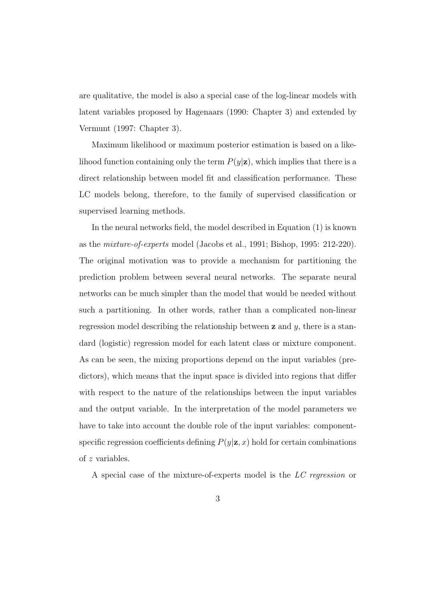are qualitative, the model is also a special case of the log-linear models with latent variables proposed by Hagenaars (1990: Chapter 3) and extended by Vermunt (1997: Chapter 3).

Maximum likelihood or maximum posterior estimation is based on a likelihood function containing only the term  $P(y|\mathbf{z})$ , which implies that there is a direct relationship between model fit and classification performance. These LC models belong, therefore, to the family of supervised classification or supervised learning methods.

In the neural networks field, the model described in Equation (1) is known as the mixture-of-experts model (Jacobs et al., 1991; Bishop, 1995: 212-220). The original motivation was to provide a mechanism for partitioning the prediction problem between several neural networks. The separate neural networks can be much simpler than the model that would be needed without such a partitioning. In other words, rather than a complicated non-linear regression model describing the relationship between  $z$  and  $y$ , there is a standard (logistic) regression model for each latent class or mixture component. As can be seen, the mixing proportions depend on the input variables (predictors), which means that the input space is divided into regions that differ with respect to the nature of the relationships between the input variables and the output variable. In the interpretation of the model parameters we have to take into account the double role of the input variables: componentspecific regression coefficients defining  $P(y|\mathbf{z}, x)$  hold for certain combinations of z variables.

A special case of the mixture-of-experts model is the LC regression or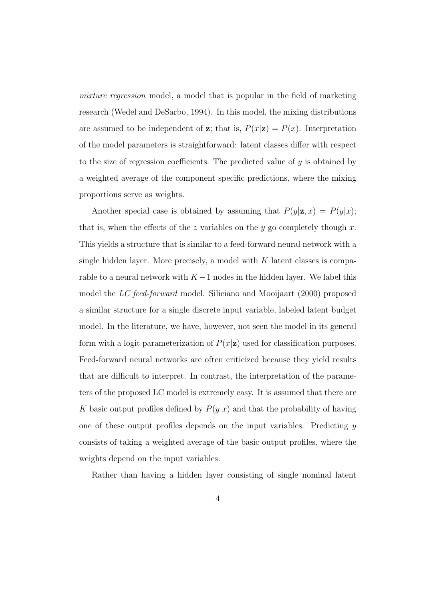mixture regression model, a model that is popular in the field of marketing research (Wedel and DeSarbo, 1994). In this model, the mixing distributions are assumed to be independent of z; that is,  $P(x|\mathbf{z}) = P(x)$ . Interpretation of the model parameters is straightforward: latent classes differ with respect to the size of regression coefficients. The predicted value of  $y$  is obtained by a weighted average of the component specific predictions, where the mixing proportions serve as weights.

Another special case is obtained by assuming that  $P(y|\mathbf{z}, x) = P(y|x);$ that is, when the effects of the z variables on the y go completely though  $x$ . This yields a structure that is similar to a feed-forward neural network with a single hidden layer. More precisely, a model with  $K$  latent classes is comparable to a neural network with  $K-1$  nodes in the hidden layer. We label this model the LC feed-forward model. Siliciano and Mooijaart (2000) proposed a similar structure for a single discrete input variable, labeled latent budget model. In the literature, we have, however, not seen the model in its general form with a logit parameterization of  $P(x|\mathbf{z})$  used for classification purposes. Feed-forward neural networks are often criticized because they yield results that are difficult to interpret. In contrast, the interpretation of the parameters of the proposed LC model is extremely easy. It is assumed that there are K basic output profiles defined by  $P(y|x)$  and that the probability of having one of these output profiles depends on the input variables. Predicting  $\eta$ consists of taking a weighted average of the basic output profiles, where the weights depend on the input variables.

Rather than having a hidden layer consisting of single nominal latent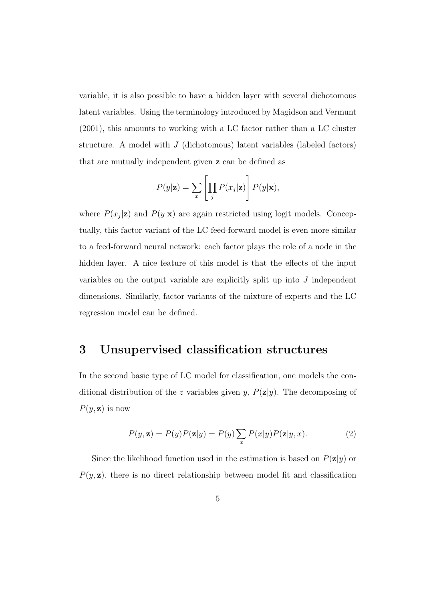variable, it is also possible to have a hidden layer with several dichotomous latent variables. Using the terminology introduced by Magidson and Vermunt (2001), this amounts to working with a LC factor rather than a LC cluster structure. A model with  $J$  (dichotomous) latent variables (labeled factors) that are mutually independent given z can be defined as

$$
P(y|\mathbf{z}) = \sum_{x} \left[ \prod_{j} P(x_j|\mathbf{z}) \right] P(y|\mathbf{x}),
$$

where  $P(x_j|\mathbf{z})$  and  $P(y|\mathbf{x})$  are again restricted using logit models. Conceptually, this factor variant of the LC feed-forward model is even more similar to a feed-forward neural network: each factor plays the role of a node in the hidden layer. A nice feature of this model is that the effects of the input variables on the output variable are explicitly split up into J independent dimensions. Similarly, factor variants of the mixture-of-experts and the LC regression model can be defined.

#### 3 Unsupervised classification structures

In the second basic type of LC model for classification, one models the conditional distribution of the z variables given y,  $P(\mathbf{z}|y)$ . The decomposing of  $P(y, z)$  is now

$$
P(y, \mathbf{z}) = P(y)P(\mathbf{z}|y) = P(y) \sum_{x} P(x|y)P(\mathbf{z}|y, x).
$$
 (2)

Since the likelihood function used in the estimation is based on  $P(\mathbf{z}|y)$  or  $P(y, z)$ , there is no direct relationship between model fit and classification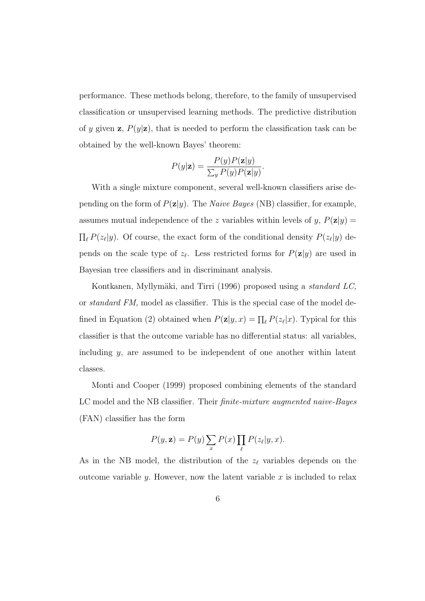performance. These methods belong, therefore, to the family of unsupervised classification or unsupervised learning methods. The predictive distribution of y given z,  $P(y|\mathbf{z})$ , that is needed to perform the classification task can be obtained by the well-known Bayes' theorem:

$$
P(y|\mathbf{z}) = \frac{P(y)P(\mathbf{z}|y)}{\sum_{y} P(y)P(\mathbf{z}|y)}.
$$

With a single mixture component, several well-known classifiers arise depending on the form of  $P(\mathbf{z}|y)$ . The *Naive Bayes* (NB) classifier, for example, assumes mutual independence of the z variables within levels of y,  $P(\mathbf{z}|y)$  =  $\prod_{\ell} P(z_{\ell}|y)$ . Of course, the exact form of the conditional density  $P(z_{\ell}|y)$  depends on the scale type of  $z_{\ell}$ . Less restricted forms for  $P(\mathbf{z}|y)$  are used in Bayesian tree classifiers and in discriminant analysis.

Kontkanen, Myllymäki, and Tirri (1996) proposed using a *standard LC*, or standard FM, model as classifier. This is the special case of the model defined in Equation (2) obtained when  $P(\mathbf{z}|y, x) = \prod_{\ell} P(z_{\ell}|x)$ . Typical for this classifier is that the outcome variable has no differential status: all variables, including y, are assumed to be independent of one another within latent classes.

Monti and Cooper (1999) proposed combining elements of the standard LC model and the NB classifier. Their *finite-mixture augmented naive-Bayes* (FAN) classifier has the form

$$
P(y, \mathbf{z}) = P(y) \sum_{x} P(x) \prod_{\ell} P(z_{\ell} | y, x).
$$

As in the NB model, the distribution of the  $z_{\ell}$  variables depends on the outcome variable y. However, now the latent variable  $x$  is included to relax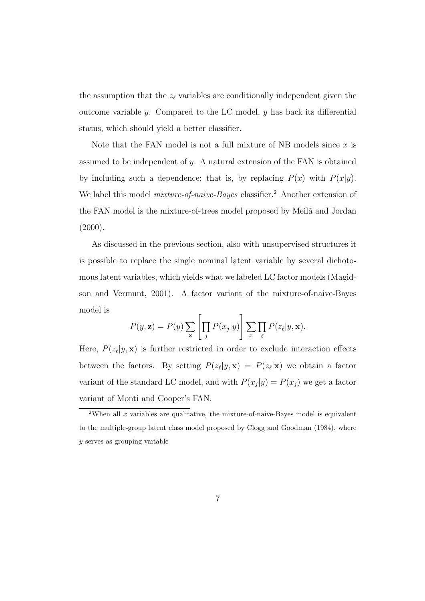the assumption that the  $z_{\ell}$  variables are conditionally independent given the outcome variable  $y$ . Compared to the LC model,  $y$  has back its differential status, which should yield a better classifier.

Note that the FAN model is not a full mixture of NB models since  $x$  is assumed to be independent of y. A natural extension of the FAN is obtained by including such a dependence; that is, by replacing  $P(x)$  with  $P(x|y)$ . We label this model *mixture-of-naive-Bayes* classifier.<sup>2</sup> Another extension of the FAN model is the mixture-of-trees model proposed by Meila and Jordan  $(2000).$ 

As discussed in the previous section, also with unsupervised structures it is possible to replace the single nominal latent variable by several dichotomous latent variables, which yields what we labeled LC factor models (Magidson and Vermunt, 2001). A factor variant of the mixture-of-naive-Bayes model is

$$
P(y, \mathbf{z}) = P(y) \sum_{\mathbf{x}} \left[ \prod_j P(x_j | y) \right] \sum_x \prod_{\ell} P(z_{\ell} | y, \mathbf{x}).
$$

Here,  $P(z_{\ell}|y, \mathbf{x})$  is further restricted in order to exclude interaction effects between the factors. By setting  $P(z_{\ell}|y, \mathbf{x}) = P(z_{\ell}|\mathbf{x})$  we obtain a factor variant of the standard LC model, and with  $P(x_j|y) = P(x_j)$  we get a factor variant of Monti and Cooper's FAN.

<sup>&</sup>lt;sup>2</sup>When all x variables are qualitative, the mixture-of-naive-Bayes model is equivalent to the multiple-group latent class model proposed by Clogg and Goodman (1984), where y serves as grouping variable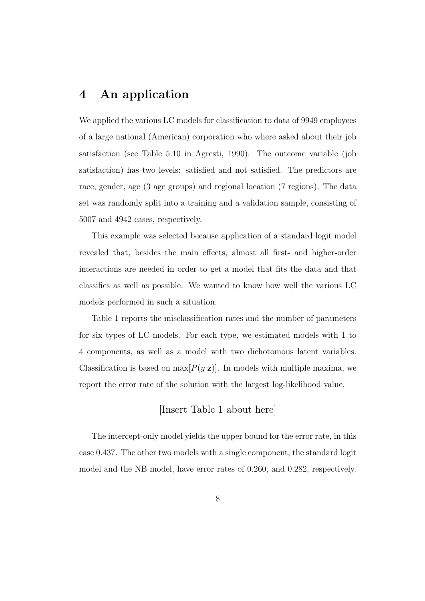# 4 An application

We applied the various LC models for classification to data of 9949 employees of a large national (American) corporation who where asked about their job satisfaction (see Table 5.10 in Agresti, 1990). The outcome variable (job satisfaction) has two levels: satisfied and not satisfied. The predictors are race, gender, age (3 age groups) and regional location (7 regions). The data set was randomly split into a training and a validation sample, consisting of 5007 and 4942 cases, respectively.

This example was selected because application of a standard logit model revealed that, besides the main effects, almost all first- and higher-order interactions are needed in order to get a model that fits the data and that classifies as well as possible. We wanted to know how well the various LC models performed in such a situation.

Table 1 reports the misclassification rates and the number of parameters for six types of LC models. For each type, we estimated models with 1 to 4 components, as well as a model with two dichotomous latent variables. Classification is based on  $\max[P(y|\mathbf{z})]$ . In models with multiple maxima, we report the error rate of the solution with the largest log-likelihood value.

[Insert Table 1 about here]

The intercept-only model yields the upper bound for the error rate, in this case 0.437. The other two models with a single component, the standard logit model and the NB model, have error rates of 0.260, and 0.282, respectively.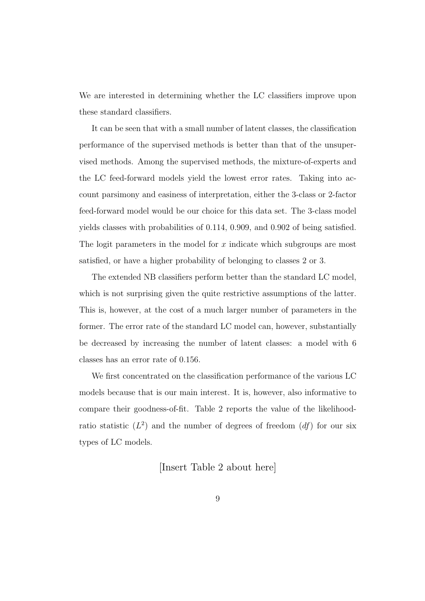We are interested in determining whether the LC classifiers improve upon these standard classifiers.

It can be seen that with a small number of latent classes, the classification performance of the supervised methods is better than that of the unsupervised methods. Among the supervised methods, the mixture-of-experts and the LC feed-forward models yield the lowest error rates. Taking into account parsimony and easiness of interpretation, either the 3-class or 2-factor feed-forward model would be our choice for this data set. The 3-class model yields classes with probabilities of 0.114, 0.909, and 0.902 of being satisfied. The logit parameters in the model for x indicate which subgroups are most satisfied, or have a higher probability of belonging to classes 2 or 3.

The extended NB classifiers perform better than the standard LC model, which is not surprising given the quite restrictive assumptions of the latter. This is, however, at the cost of a much larger number of parameters in the former. The error rate of the standard LC model can, however, substantially be decreased by increasing the number of latent classes: a model with 6 classes has an error rate of 0.156.

We first concentrated on the classification performance of the various LC models because that is our main interest. It is, however, also informative to compare their goodness-of-fit. Table 2 reports the value of the likelihoodratio statistic  $(L^2)$  and the number of degrees of freedom  $(df)$  for our six types of LC models.

[Insert Table 2 about here]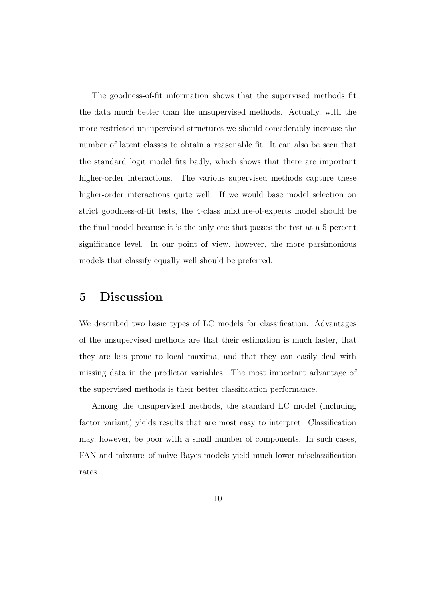The goodness-of-fit information shows that the supervised methods fit the data much better than the unsupervised methods. Actually, with the more restricted unsupervised structures we should considerably increase the number of latent classes to obtain a reasonable fit. It can also be seen that the standard logit model fits badly, which shows that there are important higher-order interactions. The various supervised methods capture these higher-order interactions quite well. If we would base model selection on strict goodness-of-fit tests, the 4-class mixture-of-experts model should be the final model because it is the only one that passes the test at a 5 percent significance level. In our point of view, however, the more parsimonious models that classify equally well should be preferred.

#### 5 Discussion

We described two basic types of LC models for classification. Advantages of the unsupervised methods are that their estimation is much faster, that they are less prone to local maxima, and that they can easily deal with missing data in the predictor variables. The most important advantage of the supervised methods is their better classification performance.

Among the unsupervised methods, the standard LC model (including factor variant) yields results that are most easy to interpret. Classification may, however, be poor with a small number of components. In such cases, FAN and mixture–of-naive-Bayes models yield much lower misclassification rates.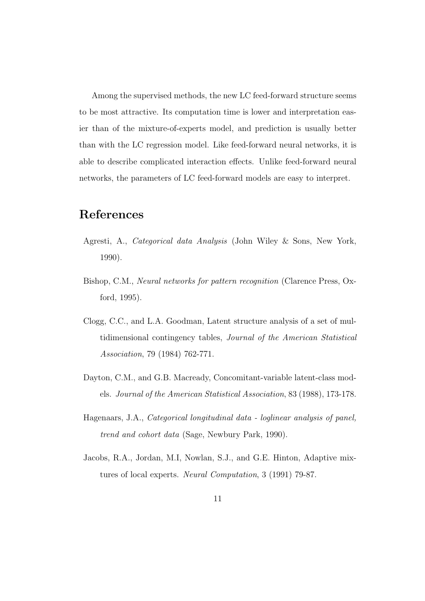Among the supervised methods, the new LC feed-forward structure seems to be most attractive. Its computation time is lower and interpretation easier than of the mixture-of-experts model, and prediction is usually better than with the LC regression model. Like feed-forward neural networks, it is able to describe complicated interaction effects. Unlike feed-forward neural networks, the parameters of LC feed-forward models are easy to interpret.

# References

- Agresti, A., Categorical data Analysis (John Wiley & Sons, New York, 1990).
- Bishop, C.M., Neural networks for pattern recognition (Clarence Press, Oxford, 1995).
- Clogg, C.C., and L.A. Goodman, Latent structure analysis of a set of multidimensional contingency tables, Journal of the American Statistical Association, 79 (1984) 762-771.
- Dayton, C.M., and G.B. Macready, Concomitant-variable latent-class models. Journal of the American Statistical Association, 83 (1988), 173-178.
- Hagenaars, J.A., Categorical longitudinal data loglinear analysis of panel, trend and cohort data (Sage, Newbury Park, 1990).
- Jacobs, R.A., Jordan, M.I, Nowlan, S.J., and G.E. Hinton, Adaptive mixtures of local experts. Neural Computation, 3 (1991) 79-87.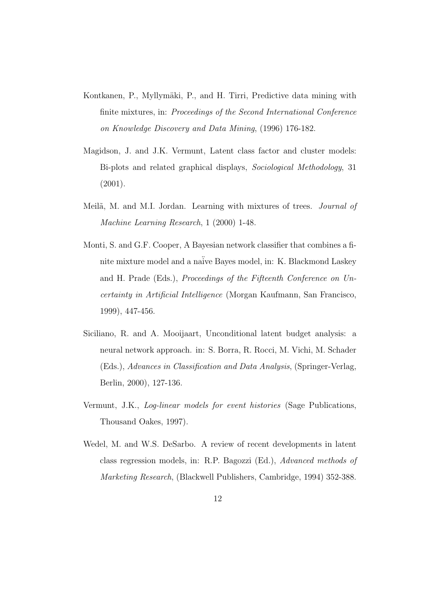- Kontkanen, P., Myllymäki, P., and H. Tirri, Predictive data mining with finite mixtures, in: Proceedings of the Second International Conference on Knowledge Discovery and Data Mining, (1996) 176-182.
- Magidson, J. and J.K. Vermunt, Latent class factor and cluster models: Bi-plots and related graphical displays, Sociological Methodology, 31 (2001).
- Meilã, M. and M.I. Jordan. Learning with mixtures of trees. Journal of Machine Learning Research, 1 (2000) 1-48.
- Monti, S. and G.F. Cooper, A Bayesian network classifier that combines a finite mixture model and a na¨ive Bayes model, in: K. Blackmond Laskey and H. Prade (Eds.), Proceedings of the Fifteenth Conference on Uncertainty in Artificial Intelligence (Morgan Kaufmann, San Francisco, 1999), 447-456.
- Siciliano, R. and A. Mooijaart, Unconditional latent budget analysis: a neural network approach. in: S. Borra, R. Rocci, M. Vichi, M. Schader (Eds.), Advances in Classification and Data Analysis, (Springer-Verlag, Berlin, 2000), 127-136.
- Vermunt, J.K., Log-linear models for event histories (Sage Publications, Thousand Oakes, 1997).
- Wedel, M. and W.S. DeSarbo. A review of recent developments in latent class regression models, in: R.P. Bagozzi (Ed.), Advanced methods of Marketing Research, (Blackwell Publishers, Cambridge, 1994) 352-388.